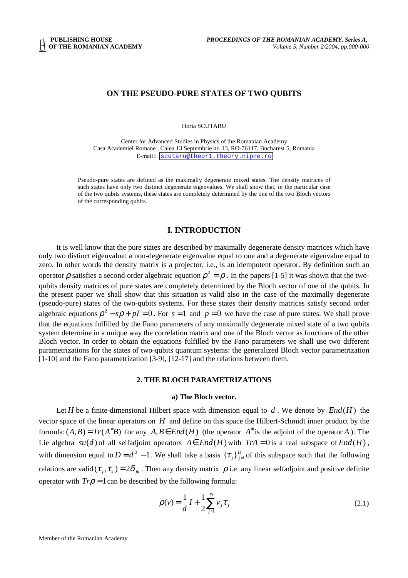## **ON THE PSEUDO-PURE STATES OF TWO QUBITS**

Horia SCUTARU

Center for Advanced Studies in Physics of the Romanian Academy Casa Academiei Romane , Calea 13 Septembrie nr. 13, RO-76117, Bucharest 5, Romania E-mail: [scutaru@theor1.theory.nipne.ro](mailto:scutaru@theor1.theory.nipne.ro)

Pseudo-pure states are defined as the maximally degenerate mixed states. The density matrices of such states have only two distinct degenerate eigenvalues. We shall show that, in the particular case of the two qubits systems, these states are completely determined by the one of the two Bloch vectors of the corresponding qubits.

# **I. INTRODUCTION**

It is well know that the pure states are described by maximally degenerate density matrices which have only two distinct eigenvalue: a non-degenerate eigenvalue equal to one and a degenerate eigenvalue equal to zero. In other words the density matrix is a projector, i.e., is an idempotent operator. By definition such an operator *ρ* satisfies a second order algebraic equation  $ρ^2 = ρ$ . In the papers [1-5] it was shown that the twoqubits density matrices of pure states are completely determined by the Bloch vector of one of the qubits. In the present paper we shall show that this situation is valid also in the case of the maximally degenerate (pseudo-pure) states of the two-qubits systems. For these states their density matrices satisfy second order algebraic equations  $\rho^2$  – *s* $\rho$  + *pI* = 0. For *s* = 1 and *p* = 0 we have the case of pure states. We shall prove that the equations fulfilled by the Fano parameters of any maximally degenerate mixed state of a two qubits system determine in a unique way the correlation matrix and one of the Bloch vector as functions of the other Bloch vector. In order to obtain the equations fulfilled by the Fano parameters we shall use two different parametrizations for the states of two-qubits quantum systems: the generalized Bloch vector parametrization [1-10] and the Fano parametrization [3-9], [12-17] and the relations between them.

## **2. THE BLOCH PARAMETRIZATIONS**

## **a) The Bloch vector.**

Let *H* be a finite-dimensional Hilbert space with dimension equal to *d* . We denote by *End*(*H*) the vector space of the linear operators on *H* and define on this space the Hilbert-Schmidt inner product by the formula:  $(A, B) = Tr(A^*B)$  for any  $A, B \in End(H)$  (the operator  $A^*$  is the adjoint of the operator *A*). The Lie algebra *su*(*d*) of all selfadjoint operators *A*∈ *End*(*H*) with *TrA* = 0 is a real subspace of *End*(*H*), with dimension equal to  $D = d^2 - 1$ . We shall take a basis  $\{\tau_i\}_{i=1}^D$  of this subspace such that the following relations are valid  $(\tau_i, \tau_k) = 2\delta_{ik}$ . Then any density matrix  $\rho$  i.e. any linear selfadjoint and positive definite operator with  $Tr\rho = 1$  can be described by the following formula:

$$
\rho(v) = \frac{1}{d}I + \frac{1}{2} \sum_{j=1}^{D} v_j \tau_j
$$
\n(2.1)

\_\_\_\_\_\_\_\_\_\_\_\_\_\_\_\_\_\_\_\_\_

Member of the Romanian Academy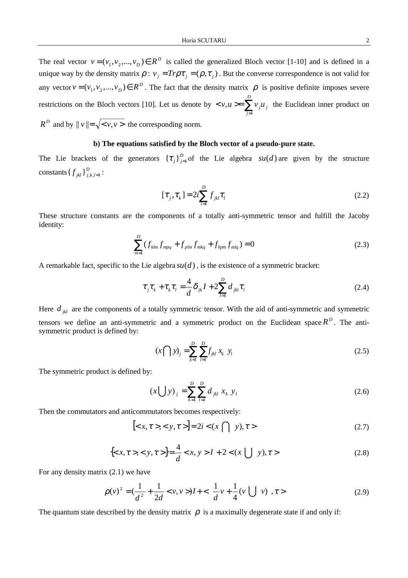The real vector  $v = (v_1, v_2, ..., v_D) \in R^D$  is called the generalized Bloch vector [1-10] and is defined in a unique way by the density matrix  $\rho : v_j = Tr \rho \tau_j = (\rho, \tau_j)$ . But the converse correspondence is not valid for any vector  $v = (v_1, v_2, ..., v_D) \in R^D$ . The fact that the density matrix  $\rho$  is positive definite imposes severe restrictions on the Bloch vectors [10]. Let us denote by  $\langle v, u \rangle = \sum_{j=1}^{\infty}$ *D j*  $\langle v, u \rangle = \sum v_j u_j$ 1  $, u \ge \sum v_i u_i$  the Euclidean inner product on  $R^D$  and by  $||v|| = \sqrt{\langle v, v \rangle}$  the corresponding norm.

# **b) The equations satisfied by the Bloch vector of a pseudo-pure state.**

The Lie brackets of the generators  ${\{\tau_j\}}_{j=1}^p$  of the Lie algebra  $su(d)$  are given by the structure constants  $\{f_{jkl}\}_{j,k,l=1}^D$ :

$$
[\tau_j, \tau_k] = 2i \sum_{l=1}^{D} f_{jkl} \tau_l
$$
\n(2.2)

These structure constants are the components of a totally anti-symmetric tensor and fulfill the Jacoby identity:

$$
\sum_{m=1}^{D} (f_{klm} f_{mpq} + f_{plm} f_{mkq} + f_{kpm} f_{mlq}) = 0
$$
\n(2.3)

A remarkable fact, specific to the Lie algebra  $su(d)$ , is the existence of a symmetric bracket:

$$
\tau_j \tau_k + \tau_k \tau_l = \frac{4}{d} \delta_{jk} I + 2 \sum_{l=1}^D d_{jkl} \tau_l
$$
\n(2.4)

Here  $d_{jkl}$  are the components of a totally symmetric tensor. With the aid of anti-symmetric and symmetric tensors we define an anti-symmetric and a symmetric product on the Euclidean space  $R<sup>D</sup>$ . The antisymmetric product is defined by:

$$
(x \bigcap y)_j = \sum_{k=1}^D \sum_{l=1}^D f_{jkl} x_k \ y_l \tag{2.5}
$$

The symmetric product is defined by:

$$
(x \bigcup y)_j = \sum_{k=1}^D \sum_{l=1}^D d_{jkl} x_k y_l
$$
 (2.6)

Then the commutators and anticommutators becomes respectively:

$$
[\langle x, \tau \rangle, \langle y, \tau \rangle] = 2i \langle x \cap y, \tau \rangle \tag{2.7}
$$

$$
\{< x, \tau > , < y, \tau > \} = \frac{4}{d} < x, \, y > I + 2 < (x \cup y), \tau > \tag{2.8}
$$

For any density matrix (2.1) we have

$$
\rho(v)^2 = \left(\frac{1}{d^2} + \frac{1}{2d} < v, v > \right) I + \left\{ \left[ \frac{1}{d} v + \frac{1}{4} (v \bigcup v) \right], \tau > \right\} \tag{2.9}
$$

The quantum state described by the density matrix  $\rho$  is a maximally degenerate state if and only if: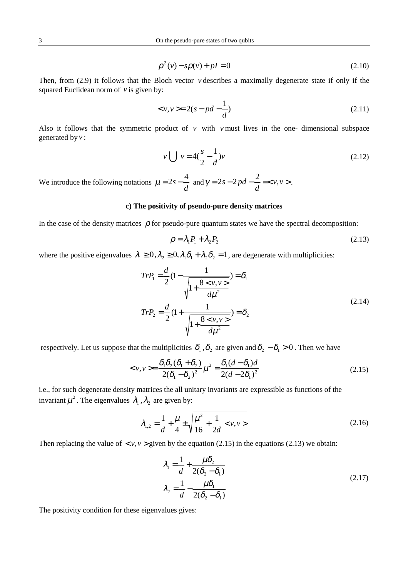$$
\rho^2(v) - s\rho(v) + pI = 0 \tag{2.10}
$$

Then, from (2.9) it follows that the Bloch vector *v* describes a maximally degenerate state if only if the squared Euclidean norm of *v* is given by:

$$
\langle v, v \rangle = 2(s - pd - \frac{1}{d}) \tag{2.11}
$$

Also it follows that the symmetric product of  $\nu$  with  $\nu$  must lives in the one-dimensional subspace generated by *v* :

$$
v \bigcup v = 4(\frac{s}{2} - \frac{1}{d})v
$$
\n(2.12)

We introduce the following notations  $\mu = 2s - \frac{4}{d}$  and  $\gamma = 2s - 2pd - \frac{2}{d} = \langle v, v \rangle$ *d*  $\gamma = 2s - 2pd - \frac{2}{l} =$ .

## **c) The positivity of pseudo-pure density matrices**

In the case of the density matrices  $\rho$  for pseudo-pure quantum states we have the spectral decomposition:

$$
\rho = \lambda_1 P_1 + \lambda_2 P_2 \tag{2.13}
$$

where the positive eigenvalues  $\lambda_1 \geq 0$ ,  $\lambda_2 \geq 0$ ,  $\lambda_1 \delta_1 + \lambda_2 \delta_2 = 1$ , are degenerate with multiplicities:

$$
Tr P_1 = \frac{d}{2} (1 - \frac{1}{\sqrt{1 + \frac{8 < v, v >}{d\mu^2}}} ) = \delta_1
$$
\n
$$
Tr P_2 = \frac{d}{2} (1 + \frac{1}{\sqrt{1 + \frac{8 < v, v >}{d\mu^2}}} ) = \delta_2
$$
\n
$$
(2.14)
$$

respectively. Let us suppose that the multiplicities  $\delta_1, \delta_2$  are given and  $\delta_2 - \delta_1 > 0$ . Then we have

$$
\langle \nu, \nu \rangle = \frac{\delta_1 \delta_2 (\delta_1 + \delta_2)}{2(\delta_1 - \delta_2)^2} \mu^2 = \frac{\delta_1 (d - \delta_1) d}{2(d - 2\delta_1)^2}
$$
(2.15)

i.e., for such degenerate density matrices the all unitary invariants are expressible as functions of the invariant  $\mu^2$ . The eigenvalues  $\lambda_1$ ,  $\lambda_2$  are given by:

$$
\lambda_{1,2} = \frac{1}{d} + \frac{\mu}{4} \pm \sqrt{\frac{\mu^2}{16} + \frac{1}{2d} < v, \nu>}
$$
\n(2.16)

Then replacing the value of  $\langle v, v \rangle$  given by the equation (2.15) in the equations (2.13) we obtain:

$$
\lambda_1 = \frac{1}{d} + \frac{\mu \delta_2}{2(\delta_2 - \delta_1)}
$$
\n
$$
\lambda_2 = \frac{1}{d} - \frac{\mu \delta_1}{2(\delta_2 - \delta_1)}
$$
\n(2.17)

The positivity condition for these eigenvalues gives: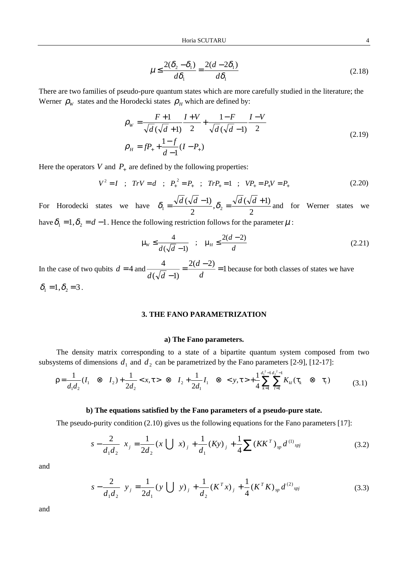$$
\mu \le \frac{2(\delta_2 - \delta_1)}{d\delta_1} = \frac{2(d - 2\delta_1)}{d\delta_1}
$$
\n(2.18)

There are two families of pseudo-pure quantum states which are more carefully studied in the literature; the Werner  $\rho_w$  states and the Horodecki states  $\rho_H$  which are defined by:

$$
\rho_{w} = \frac{F+1}{\sqrt{d}(\sqrt{d}+1)} \frac{I+V}{2} + \frac{1-F}{\sqrt{d}(\sqrt{d}-1)} \frac{I-V}{2}
$$
\n
$$
\rho_{H} = fP_{+} + \frac{1-f}{d-1}(I-P_{+})
$$
\n(2.19)

Here the operators *V* and  $P_+$  are defined by the following properties:

$$
V^2 = I \quad ; \quad TrV = d \quad ; \quad P_+^2 = P_+ \quad ; \quad TrP_+ = 1 \quad ; \quad VP_+ = P_+V = P_+ \tag{2.20}
$$

For Horodecki states we have  $\frac{(\sqrt{d}-1)}{2}, \delta_2 = \frac{\sqrt{d}(\sqrt{d}+1)}{2}$  $\delta_1 = \frac{\sqrt{d}(\sqrt{d}-1)}{2}, \delta_2 = \frac{\sqrt{d}(\sqrt{d}+1)}{2}$  and for Werner states we have  $\delta_1 = 1, \delta_2 = d - 1$ . Hence the following restriction follows for the parameter  $\mu$ :

$$
\mu_{w} \le \frac{4}{d(\sqrt{d}-1)} \quad ; \quad \mu_{H} \le \frac{2(d-2)}{d} \tag{2.21}
$$

In the case of two qubits  $d = 4$  and  $\frac{4}{\sqrt{12}} = \frac{2(d-2)}{1} = 1$  $\frac{4}{(\sqrt{d}-1)} = \frac{2(d-2)}{d} =$  $d$   $\sqrt{d}$ because for both classes of states we have  $\delta_1 = 1, \delta_2 = 3$ .

## **3. THE FANO PARAMETRIZATION**

## **a) The Fano parameters.**

The density matrix corresponding to a state of a bipartite quantum system composed from two subsystems of dimensions  $d_1$  and  $d_2$  can be parametrized by the Fano parameters [2-9], [12-17]:

$$
\rho = \frac{1}{d_1 d_2} (I_1 \otimes I_2) + \frac{1}{2d_2} < x, \tau > \otimes I_2 + \frac{1}{2d_1} I_1 \otimes < y, \tau > + \frac{1}{4} \sum_{k=1}^{d_1^2 - 1} \sum_{l=1}^{d_2^2 - 1} K_{kl} (\tau_k \otimes \tau_l)
$$
(3.1)

## **b) The equations satisfied by the Fano parameters of a pseudo-pure state.**

The pseudo-purity condition (2.10) gives us the following equations for the Fano parameters [17]:

$$
\left(s - \frac{2}{d_1 d_2}\right) x_j = \frac{1}{2d_2} (x \bigcup x)_j + \frac{1}{d_1} (Ky)_j + \frac{1}{4} \sum (KK^T)_{sp} d^{(1)}_{spj} \tag{3.2}
$$

and

$$
\left(s - \frac{2}{d_1 d_2}\right) y_j = \frac{1}{2d_1} (y \bigcup y)_j + \frac{1}{d_2} (K^T x)_j + \frac{1}{4} (K^T K)_{sp} d^{(2)}_{spj}
$$
(3.3)

and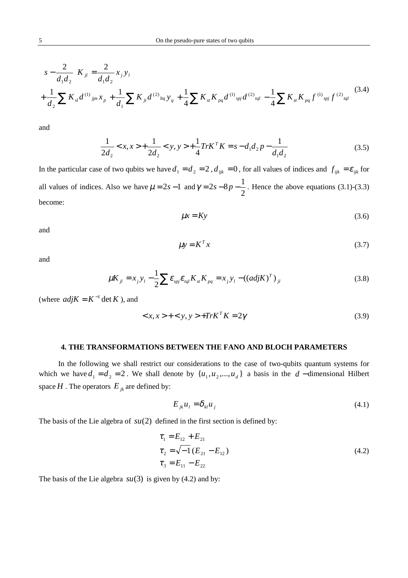$$
\left(s - \frac{2}{d_1 d_2}\right) K_{jl} = \frac{2}{d_1 d_2} x_j y_l
$$
  
+ 
$$
\frac{1}{d_2} \sum K_{sl} d^{(1)}{}_{jps} x_p + \frac{1}{d_1} \sum K_{jl} d^{(2)}{}_{lq} y_q + \frac{1}{4} \sum K_{st} K_{pq} d^{(1)}{}_{spl} d^{(2)}{}_{lq} - \frac{1}{4} \sum K_{st} K_{pq} f^{(1)}{}_{spl} f^{(2)}{}_{lq} (3.4)
$$

$$
\frac{1}{2d_2} < x, x > + \frac{1}{2d_2} < y, y > + \frac{1}{4} \text{Tr} K^T K = s - d_1 d_2 p - \frac{1}{d_1 d_2} \tag{3.5}
$$

In the particular case of two qubits we have  $d_1 = d_2 = 2$ ,  $d_{ijk} = 0$ , for all values of indices and  $f_{ijk} = \varepsilon_{ijk}$  for all values of indices. Also we have  $\mu = 2s - 1$  and 2  $\gamma = 2s - 8p - \frac{1}{2}$ . Hence the above equations (3.1)-(3.3) become:

$$
\mu x = Ky \tag{3.6}
$$

and

$$
\mu y = K^T x \tag{3.7}
$$

and

$$
\mu K_{jl} = x_j y_l - \frac{1}{2} \sum \varepsilon_{spl} \varepsilon_{lql} K_{st} K_{pq} = x_j y_l - ((adj K)^T)_{jl}
$$
 (3.8)

(where  $adjK = K^{-1} \det K$ ), and

$$
\langle x, x \rangle + \langle y, y \rangle + TrK^T K = 2\gamma \tag{3.9}
$$

## **4. THE TRANSFORMATIONS BETWEEN THE FANO AND BLOCH PARAMETERS**

 In the following we shall restrict our considerations to the case of two-qubits quantum systems for which we have  $d_1 = d_2 = 2$ . We shall denote by  $\{u_1, u_2, ..., u_d\}$  a basis in the *d* − dimensional Hilbert space  $H$ . The operators  $E_{ik}$  are defined by:

$$
E_{jk}u_l = \delta_{kl}u_j \tag{4.1}
$$

The basis of the Lie algebra of  $su(2)$  defined in the first section is defined by:

$$
\tau_1 = E_{12} + E_{21}
$$
  
\n
$$
\tau_2 = \sqrt{-1} (E_{21} - E_{12})
$$
  
\n
$$
\tau_3 = E_{11} - E_{22}
$$
\n(4.2)

The basis of the Lie algebra  $su(3)$  is given by (4.2) and by: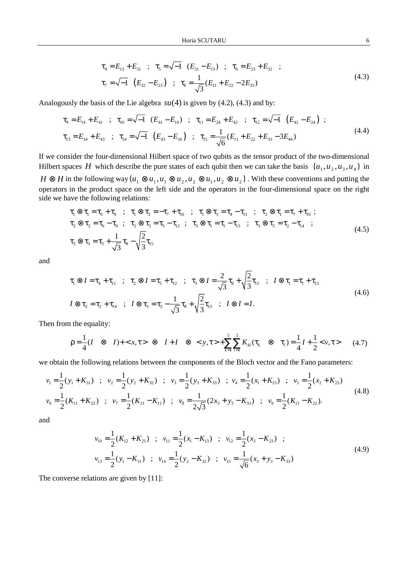$$
\tau_4 = E_{13} + E_{31} \quad ; \quad \tau_5 = \sqrt{-1} \quad (E_{31} - E_{13}) \quad ; \quad \tau_6 = E_{23} + E_{32} \quad ;
$$
\n
$$
\tau_7 = \sqrt{-1} \quad (E_{32} - E_{23}) \quad ; \quad \tau_8 = \frac{1}{\sqrt{3}} (E_{11} + E_{22} - 2E_{33})
$$
\n(4.3)

Analogously the basis of the Lie algebra  $su(4)$  is given by  $(4.2)$ ,  $(4.3)$  and by:

$$
\tau_{9} = E_{14} + E_{41} \quad ; \quad \tau_{10} = \sqrt{-1} \quad (E_{41} - E_{14}) \quad ; \quad \tau_{11} = E_{24} + E_{42} \quad ; \quad \tau_{12} = \sqrt{-1} \quad (E_{42} - E_{24}) \quad ;
$$
\n
$$
\tau_{13} = E_{34} + E_{43} \quad ; \quad \tau_{14} = \sqrt{-1} \quad (E_{43} - E_{34}) \quad ; \quad \tau_{15} = \frac{1}{\sqrt{6}} (E_{11} + E_{22} + E_{33} - 3E_{44}) \tag{4.4}
$$

If we consider the four-dimensional Hilbert space of two qubits as the tensor product of the two-dimensional Hilbert spaces *H* which describe the pure states of each qubit then we can take the basis  $\{u_1, u_2, u_3, u_4\}$  in *H* ⊗ *H* in the following way  $\{u_1 \otimes u_1, u_1 \otimes u_2, u_2 \otimes u_1, u_2 \otimes u_2\}$ . With these conventions and putting the operators in the product space on the left side and the operators in the four-dimensional space on the right side we have the following relations:

$$
\tau_1 \otimes \tau_1 = \tau_6 + \tau_9 \quad ; \quad \tau_1 \otimes \tau_2 = -\tau_7 + \tau_{10} \quad ; \quad \tau_1 \otimes \tau_3 = \tau_4 - \tau_{11} \quad ; \quad \tau_2 \otimes \tau_1 = \tau_7 + \tau_{10} \; ;
$$
\n
$$
\tau_2 \otimes \tau_2 = \tau_6 - \tau_9 \quad ; \quad \tau_2 \otimes \tau_3 = \tau_5 - \tau_{12} \quad ; \quad \tau_3 \otimes \tau_1 = \tau_1 - \tau_{13} \quad ; \quad \tau_3 \otimes \tau_2 = \tau_2 - \tau_{14} \quad ;
$$
\n
$$
\tau_3 \otimes \tau_3 = \tau_3 + \frac{1}{\sqrt{3}} \tau_8 - \sqrt{\frac{2}{3}} \tau_{15} \tag{4.5}
$$

and

$$
\tau_1 \otimes I = \tau_4 + \tau_{11} \quad ; \quad \tau_2 \otimes I = \tau_5 + \tau_{12} \quad ; \quad \tau_3 \otimes I = \frac{2}{\sqrt{3}} \tau_8 + \sqrt{\frac{2}{3}} \tau_{15} \quad ; \quad I \otimes \tau_1 = \tau_1 + \tau_{13}
$$
\n
$$
I \otimes \tau_2 = \tau_2 + \tau_{14} \quad ; \quad I \otimes \tau_3 = \tau_3 - \frac{1}{\sqrt{3}} \tau_8 + \sqrt{\frac{2}{3}} \tau_{15} \quad ; \quad I \otimes I = I.
$$
\n
$$
(4.6)
$$

Then from the equality:

$$
\rho = \frac{1}{4}(I \otimes I) + \langle x, \tau \rangle \otimes I + I \otimes \langle y, \tau \rangle + \sum_{k=1}^{3} \sum_{l=1}^{3} K_{kl}(\tau_k \otimes \tau_l) = \frac{1}{4}I + \frac{1}{2} \langle y, \tau \rangle \tag{4.7}
$$

we obtain the following relations between the components of the Bloch vector and the Fano parameters:

$$
v_1 = \frac{1}{2}(y_1 + K_{31}) \quad ; \quad v_2 = \frac{1}{2}(y_2 + K_{32}) \quad ; \quad v_3 = \frac{1}{2}(y_3 + K_{33}) \quad ; \quad v_4 = \frac{1}{2}(x_1 + K_{13}) \quad ; \quad v_5 = \frac{1}{2}(x_2 + K_{23})
$$
\n
$$
v_6 = \frac{1}{2}(K_{11} + K_{22}) \quad ; \quad v_7 = \frac{1}{2}(K_{21} - K_{12}) \quad ; \quad v_8 = \frac{1}{2\sqrt{3}}(2x_3 + y_3 - K_{33}) \quad ; \quad v_9 = \frac{1}{2}(K_{11} - K_{22}).
$$
\n(4.8)

and

$$
v_{10} = \frac{1}{2}(K_{12} + K_{21}) \quad ; \quad v_{11} = \frac{1}{2}(x_1 - K_{13}) \quad ; \quad v_{12} = \frac{1}{2}(x_2 - K_{23}) \quad ;
$$
  
\n
$$
v_{13} = \frac{1}{2}(y_1 - K_{31}) \quad ; \quad v_{14} = \frac{1}{2}(y_2 - K_{32}) \quad ; \quad v_{15} = \frac{1}{\sqrt{6}}(x_3 + y_3 - K_{33})
$$
\n(4.9)

The converse relations are given by [11]: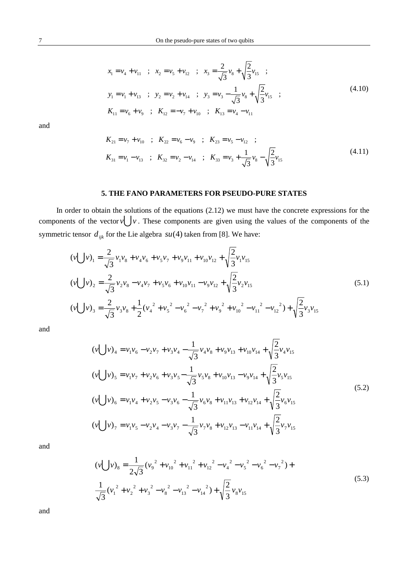$$
x_1 = v_4 + v_{11} \quad ; \quad x_2 = v_5 + v_{12} \quad ; \quad x_3 = \frac{2}{\sqrt{3}} v_8 + \sqrt{\frac{2}{3}} v_{15} \quad ;
$$
  
\n
$$
y_1 = v_1 + v_{13} \quad ; \quad y_2 = v_2 + v_{14} \quad ; \quad y_3 = v_3 - \frac{1}{\sqrt{3}} v_8 + \sqrt{\frac{2}{3}} v_{15} \quad ;
$$
  
\n
$$
K_{11} = v_6 + v_9 \quad ; \quad K_{12} = -v_7 + v_{10} \quad ; \quad K_{13} = v_4 - v_{11}
$$
\n(4.10)

$$
K_{21} = v_7 + v_{10} \quad ; \quad K_{22} = v_6 - v_9 \quad ; \quad K_{23} = v_5 - v_{12} \quad ;
$$
  

$$
K_{31} = v_1 - v_{13} \quad ; \quad K_{32} = v_2 - v_{14} \quad ; \quad K_{33} = v_3 + \frac{1}{\sqrt{3}} v_8 - \sqrt{\frac{2}{3}} v_{15}
$$
 (4.11)

# **5. THE FANO PARAMETERS FOR PSEUDO-PURE STATES**

In order to obtain the solutions of the equations (2.12) we must have the concrete expressions for the components of the vector  $v \cup v$ . These components are given using the values of the components of the symmetric tensor  $d_{ijk}$  for the Lie algebra  $su(4)$  taken from [8]. We have:

$$
(v \bigcup v)_1 = \frac{2}{\sqrt{3}} v_1 v_8 + v_4 v_6 + v_5 v_7 + v_9 v_{11} + v_{10} v_{12} + \sqrt{\frac{2}{3}} v_1 v_{15}
$$
  
\n
$$
(v \bigcup v)_2 = \frac{2}{\sqrt{3}} v_2 v_8 - v_4 v_7 + v_5 v_6 + v_{10} v_{11} - v_9 v_{12} + \sqrt{\frac{2}{3}} v_2 v_{15}
$$
  
\n
$$
(v \bigcup v)_3 = \frac{2}{\sqrt{3}} v_3 v_8 + \frac{1}{2} (v_4^2 + v_5^2 - v_6^2 - v_7^2 + v_9^2 + v_{10}^2 - v_{11}^2 - v_{12}^2) + \sqrt{\frac{2}{3}} v_3 v_{15}
$$
\n
$$
(5.1)
$$

and

$$
(v \bigcup v)_{4} = v_{1}v_{6} - v_{2}v_{7} + v_{3}v_{4} - \frac{1}{\sqrt{3}}v_{4}v_{8} + v_{9}v_{13} + v_{10}v_{14} + \sqrt{\frac{2}{3}}v_{4}v_{15}
$$
  
\n
$$
(v \bigcup v)_{5} = v_{1}v_{7} + v_{2}v_{6} + v_{3}v_{5} - \frac{1}{\sqrt{3}}v_{5}v_{8} + v_{10}v_{13} - v_{9}v_{14} + \sqrt{\frac{2}{3}}v_{5}v_{15}
$$
  
\n
$$
(v \bigcup v)_{6} = v_{1}v_{4} + v_{2}v_{5} - v_{3}v_{6} - \frac{1}{\sqrt{3}}v_{6}v_{8} + v_{11}v_{13} + v_{12}v_{14} + \sqrt{\frac{2}{3}}v_{6}v_{15}
$$
  
\n
$$
(v \bigcup v)_{7} = v_{1}v_{5} - v_{2}v_{4} - v_{3}v_{7} - \frac{1}{\sqrt{3}}v_{7}v_{8} + v_{12}v_{13} - v_{11}v_{14} + \sqrt{\frac{2}{3}}v_{7}v_{15}
$$
  
\n
$$
(v \bigcup v)_{7} = v_{1}v_{5} - v_{2}v_{4} - v_{3}v_{7} - \frac{1}{\sqrt{3}}v_{7}v_{8} + v_{12}v_{13} - v_{11}v_{14} + \sqrt{\frac{2}{3}}v_{7}v_{15}
$$
  
\n(10)

and

$$
\left(v\bigcup v\right)_8 = \frac{1}{2\sqrt{3}} \left(v_9^2 + v_{10}^2 + v_{11}^2 + v_{12}^2 - v_4^2 - v_5^2 - v_6^2 - v_7^2\right) +
$$
  

$$
\frac{1}{\sqrt{3}} \left(v_1^2 + v_2^2 + v_3^2 - v_8^2 - v_{13}^2 - v_{14}^2\right) + \sqrt{\frac{2}{3}} v_8 v_{15}
$$
 (5.3)

and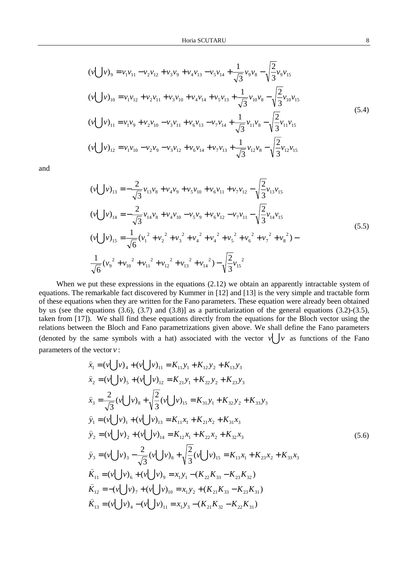$$
(v \bigcup v)_9 = v_1 v_{11} - v_2 v_{12} + v_3 v_9 + v_4 v_{13} - v_5 v_{14} + \frac{1}{\sqrt{3}} v_9 v_8 - \sqrt{\frac{2}{3}} v_9 v_{15}
$$
  
\n
$$
(v \bigcup v)_{10} = v_1 v_{12} + v_2 v_{11} + v_3 v_{10} + v_4 v_{14} + v_5 v_{13} + \frac{1}{\sqrt{3}} v_{10} v_8 - \sqrt{\frac{2}{3}} v_{10} v_{15}
$$
  
\n
$$
(v \bigcup v)_{11} = v_1 v_9 + v_2 v_{10} - v_3 v_{11} + v_6 v_{13} - v_7 v_{14} + \frac{1}{\sqrt{3}} v_{11} v_8 - \sqrt{\frac{2}{3}} v_{11} v_{15}
$$
  
\n
$$
(v \bigcup v)_{12} = v_1 v_{10} - v_2 v_9 - v_3 v_{12} + v_6 v_{14} + v_7 v_{13} + \frac{1}{\sqrt{3}} v_{12} v_8 - \sqrt{\frac{2}{3}} v_{12} v_{15}
$$
  
\n
$$
(v \bigcup v)_{12} = v_1 v_{10} - v_2 v_9 - v_3 v_{12} + v_6 v_{14} + v_7 v_{13} + \frac{1}{\sqrt{3}} v_{12} v_8 - \sqrt{\frac{2}{3}} v_{12} v_{15}
$$
 (5.4)

$$
\begin{aligned}\n(v \bigcup v)_{13} &= -\frac{2}{\sqrt{3}} v_{13} v_8 + v_4 v_9 + v_5 v_{10} + v_6 v_{11} + v_7 v_{12} - \sqrt{\frac{2}{3}} v_{13} v_{15} \\
(v \bigcup v)_{14} &= -\frac{2}{\sqrt{3}} v_{14} v_8 + v_4 v_{10} - v_5 v_9 + v_6 v_{12} - v_7 v_{11} - \sqrt{\frac{2}{3}} v_{14} v_{15} \\
(v \bigcup v)_{15} &= \frac{1}{\sqrt{6}} (v_1^2 + v_2^2 + v_3^2 + v_4^2 + v_4^2 + v_5^2 + v_6^2 + v_7^2 + v_8^2) - \frac{1}{\sqrt{6}} (v_9^2 + v_{10}^2 + v_{11}^2 + v_{12}^2 + v_{13}^2 + v_{14}^2) - \sqrt{\frac{2}{3}} v_{15}\n\end{aligned}\n\tag{5.5}
$$

When we put these expressions in the equations  $(2.12)$  we obtain an apparently intractable system of equations. The remarkable fact discovered by Kummer in [12] and [13] is the very simple and tractable form of these equations when they are written for the Fano parameters. These equation were already been obtained by us (see the equations (3.6), (3.7) and (3.8)] as a particularization of the general equations (3.2)-(3.5), taken from [17]). We shall find these equations directly from the equations for the Bloch vector using the relations between the Bloch and Fano parametrizations given above. We shall define the Fano parameters (denoted by the same symbols with a hat) associated with the vector  $v \cdot v = v \cdot v$  as functions of the Fano parameters of the vector *v* :

$$
\hat{x}_1 = (v \bigcup v)_4 + (v \bigcup v)_{11} = K_{11}y_1 + K_{12}y_2 + K_{13}y_3
$$
\n
$$
\hat{x}_2 = (v \bigcup v)_5 + (v \bigcup v)_{12} = K_{21}y_1 + K_{22}y_2 + K_{23}y_3
$$
\n
$$
\hat{x}_3 = \frac{2}{\sqrt{3}}(v \bigcup v)_8 + \sqrt{\frac{2}{3}}(v \bigcup v)_{15} = K_{31}y_1 + K_{32}y_2 + K_{33}y_3
$$
\n
$$
\hat{y}_1 = (v \bigcup v)_1 + (v \bigcup v)_{13} = K_{11}x_1 + K_{21}x_2 + K_{31}x_3
$$
\n
$$
\hat{y}_2 = (v \bigcup v)_2 + (v \bigcup v)_{14} = K_{12}x_1 + K_{22}x_2 + K_{32}x_3
$$
\n
$$
\hat{y}_3 = (v \bigcup v)_3 - \frac{2}{\sqrt{3}}(v \bigcup v)_8 + \sqrt{\frac{2}{3}}(v \bigcup v)_{15} = K_{13}x_1 + K_{23}x_2 + K_{33}x_3
$$
\n
$$
\hat{K}_{11} = (v \bigcup v)_6 + (v \bigcup v)_9 = x_1y_1 - (K_{22}K_{33} - K_{23}K_{32})
$$
\n
$$
\hat{K}_{12} = -(v \bigcup v)_7 + (v \bigcup v)_{10} = x_1y_2 + (K_{21}K_{33} - K_{23}K_{31})
$$
\n
$$
\hat{K}_{13} = (v \bigcup v)_4 - (v \bigcup v)_{11} = x_1y_3 - (K_{21}K_{32} - K_{22}K_{31})
$$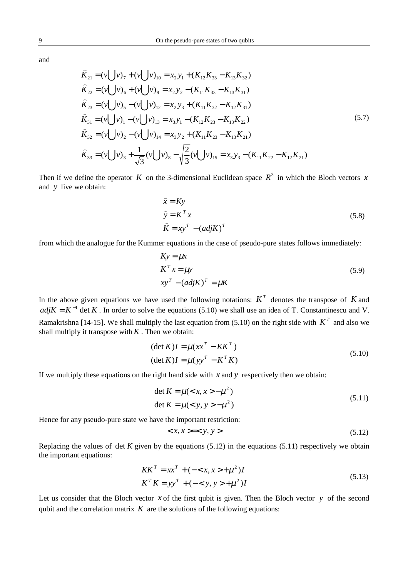$$
\hat{K}_{21} = (v \bigcup v)_7 + (v \bigcup v)_{10} = x_2 y_1 + (K_{12} K_{33} - K_{13} K_{32})
$$
\n
$$
\hat{K}_{22} = (v \bigcup v)_6 + (v \bigcup v)_9 = x_2 y_2 - (K_{11} K_{33} - K_{13} K_{31})
$$
\n
$$
\hat{K}_{23} = (v \bigcup v)_5 - (v \bigcup v)_{12} = x_2 y_3 + (K_{11} K_{32} - K_{12} K_{31})
$$
\n
$$
\hat{K}_{31} = (v \bigcup v)_1 - (v \bigcup v)_{13} = x_3 y_1 - (K_{12} K_{23} - K_{13} K_{22})
$$
\n
$$
\hat{K}_{32} = (v \bigcup v)_2 - (v \bigcup v)_{14} = x_3 y_2 + (K_{11} K_{23} - K_{13} K_{21})
$$
\n
$$
\hat{K}_{33} = (v \bigcup v)_3 + \frac{1}{\sqrt{3}} (v \bigcup v)_8 - \sqrt{\frac{2}{3}} (v \bigcup v)_{15} = x_3 y_3 - (K_{11} K_{22} - K_{12} K_{21})
$$
\n(5.7)

Then if we define the operator *K* on the 3-dimensional Euclidean space  $R^3$  in which the Bloch vectors *x* and *y* live we obtain:

$$
\hat{x} = Ky
$$
  
\n
$$
\hat{y} = K^T x
$$
  
\n
$$
\hat{K} = xy^T - (adjK)^T
$$
\n(5.8)

from which the analogue for the Kummer equations in the case of pseudo-pure states follows immediately:

$$
Ky = \mu x
$$
  
\n
$$
K^{T} x = \mu y
$$
  
\n
$$
xy^{T} - (adjK)^{T} = \mu K
$$
\n(5.9)

In the above given equations we have used the following notations:  $K<sup>T</sup>$  denotes the transpose of *K* and  $adjK = K^{-1}$  det K. In order to solve the equations (5.10) we shall use an idea of T. Constantinescu and V. Ramakrishna [14-15]. We shall multiply the last equation from (5.10) on the right side with  $K<sup>T</sup>$  and also we shall multiply it transpose with  $K$ . Then we obtain:

$$
(\det K)I = \mu(xx^T - KK^T)
$$
  
(
$$
(\det K)I = \mu(yy^T - K^TK)
$$
 (5.10)

If we multiply these equations on the right hand side with  $x$  and  $y$  respectively then we obtain:

$$
\det K = \mu \left( \langle x, x \rangle - \mu^2 \right) \n\det K = \mu \left( \langle y, y \rangle - \mu^2 \right)
$$
\n(5.11)

Hence for any pseudo-pure state we have the important restriction:

$$
\langle x, x \rangle = \langle y, y \rangle \tag{5.12}
$$

Replacing the values of det  $K$  given by the equations (5.12) in the equations (5.11) respectively we obtain the important equations:

$$
KK^{T} = xx^{T} + (- + \mu^{2})I
$$
  
\n
$$
K^{T}K = yy^{T} + (- + \mu^{2})I
$$
\n(5.13)

Let us consider that the Bloch vector *x* of the first qubit is given. Then the Bloch vector *y* of the second qubit and the correlation matrix  $K$  are the solutions of the following equations: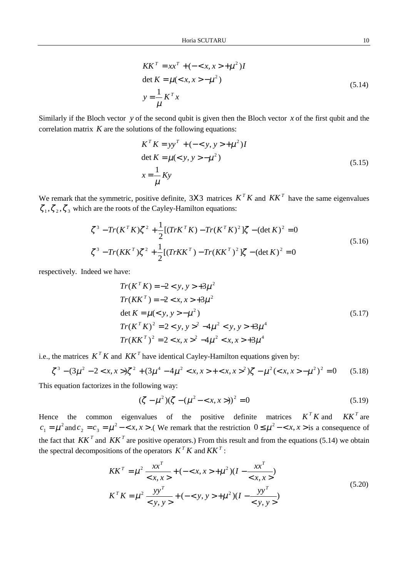$$
KK^{T} = xx^{T} + (- + \mu^{2})I
$$
  
det K =  $\mu$ ( - \mu^{2})  

$$
y = \frac{1}{\mu} K^{T} x
$$
 (5.14)

Similarly if the Bloch vector *y* of the second qubit is given then the Bloch vector *x* of the first qubit and the correlation matrix  $K$  are the solutions of the following equations:

$$
K^{T} K = yy^{T} + (- + \mu^{2})I
$$
  
det K =  $\mu$ (< y, y> - $\mu^{2}$ )  

$$
x = \frac{1}{\mu} Ky
$$
 (5.15)

We remark that the symmetric, positive definite, 3X3 matrices  $K^T K$  and  $K K^T$  have the same eigenvalues  $\zeta_1, \zeta_2, \zeta_3$  which are the roots of the Cayley-Hamilton equations:

$$
\zeta^3 - Tr(K^T K) \zeta^2 + \frac{1}{2} [(Tr K^T K) - Tr(K^T K)^2] \zeta - (\det K)^2 = 0
$$
  

$$
\zeta^3 - Tr(K K^T) \zeta^2 + \frac{1}{2} [(Tr K K^T) - Tr(K K^T)^2] \zeta - (\det K)^2 = 0
$$
\n(5.16)

respectively. Indeed we have:

$$
Tr(KT K) = -2 < y, y > +3\mu2
$$
  
\n
$$
Tr(KKT) = -2 < x, x > +3\mu2
$$
  
\n
$$
det K = \mu(< y, y > -\mu2)
$$
  
\n
$$
Tr(KT K)2 = 2 < y, y >2 -4\mu2 < y, y > +3\mu4
$$
  
\n
$$
Tr(KKT)2 = 2 < x, x >2 -4\mu2 < x, x > +3\mu4
$$

i.e., the matrices  $K^T K$  and  $K K^T$  have identical Cayley-Hamilton equations given by:

$$
\zeta^3 - (3\mu^2 - 2 < x, x > \xi^2 + (3\mu^4 - 4\mu^2 < x, x > + \xi, x > \xi^2)\zeta - \mu^2 < x, x > -\mu^2\zeta^2 = 0 \tag{5.18}
$$

This equation factorizes in the following way:

$$
(\zeta - \mu^2)(\zeta - (\mu^2 - \langle x, x \rangle))^2 = 0
$$
\n(5.19)

Hence the common eigenvalues of the positive definite matrices  $K^T K$  and  $K K^T$  are  $c_1 = \mu^2$  and  $c_2 = c_3 = \mu^2 - \langle x, x \rangle$ . We remark that the restriction  $0 \le \mu^2 - \langle x, x \rangle$  is a consequence of the fact that  $KK^T$  and  $KK^T$  are positive operators.) From this result and from the equations (5.14) we obtain the spectral decompositions of the operators  $K^T K$  and  $K K^T$ :

$$
KK^{T} = \mu^{2} \frac{xx^{T}}{} + (- + \mu^{2})(I - \frac{xx^{T}}{} )
$$
  

$$
K^{T} K = \mu^{2} \frac{yy^{T}}{} + (- + \mu^{2})(I - \frac{yy^{T}}{})
$$
 (5.20)